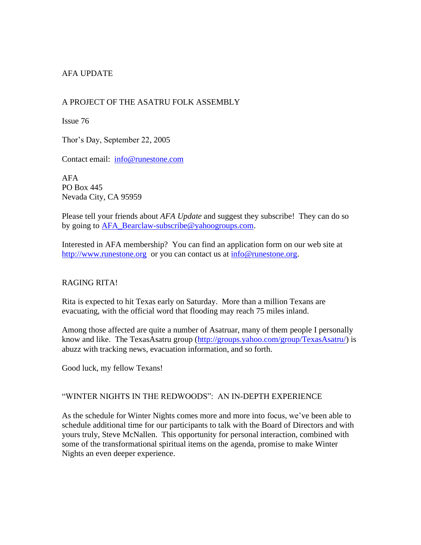# AFA UPDATE

## A PROJECT OF THE ASATRU FOLK ASSEMBLY

Issue 76

Thor's Day, September 22, 2005

Contact email: [info@runestone.com](mailto:info@runestone.com)

AFA PO Box 445 Nevada City, CA 95959

Please tell your friends about *AFA Update* and suggest they subscribe! They can do so by going to [AFA\\_Bearclaw-subscribe@yahoogroups.com.](mailto:AFA_Bearclaw-subscribe@yahoogroups.com)

Interested in AFA membership? You can find an application form on our web site at [http://www.runestone.org](http://www.runestone.org/) or you can contact us at [info@runestone.org.](mailto:info@runestone.org)

### RAGING RITA!

Rita is expected to hit Texas early on Saturday. More than a million Texans are evacuating, with the official word that flooding may reach 75 miles inland.

Among those affected are quite a number of Asatruar, many of them people I personally know and like. The TexasAsatru group [\(http://groups.yahoo.com/group/TexasAsatru/\)](http://groups.yahoo.com/group/TexasAsatru/) is abuzz with tracking news, evacuation information, and so forth.

Good luck, my fellow Texans!

### "WINTER NIGHTS IN THE REDWOODS": AN IN-DEPTH EXPERIENCE

As the schedule for Winter Nights comes more and more into focus, we've been able to schedule additional time for our participants to talk with the Board of Directors and with yours truly, Steve McNallen. This opportunity for personal interaction, combined with some of the transformational spiritual items on the agenda, promise to make Winter Nights an even deeper experience.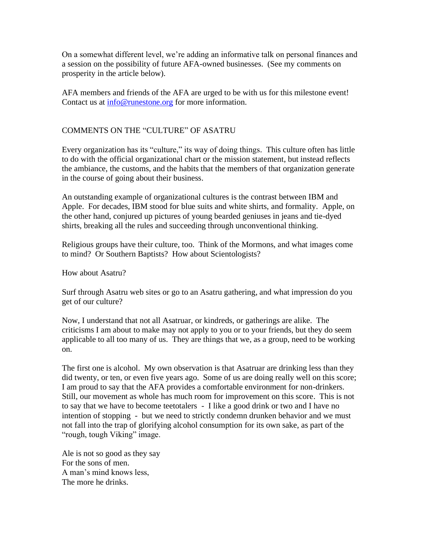On a somewhat different level, we're adding an informative talk on personal finances and a session on the possibility of future AFA-owned businesses. (See my comments on prosperity in the article below).

AFA members and friends of the AFA are urged to be with us for this milestone event! Contact us at  $\frac{info@{\text{runestone.org}}}{i}$  for more information.

### COMMENTS ON THE "CULTURE" OF ASATRU

Every organization has its "culture," its way of doing things. This culture often has little to do with the official organizational chart or the mission statement, but instead reflects the ambiance, the customs, and the habits that the members of that organization generate in the course of going about their business.

An outstanding example of organizational cultures is the contrast between IBM and Apple. For decades, IBM stood for blue suits and white shirts, and formality. Apple, on the other hand, conjured up pictures of young bearded geniuses in jeans and tie-dyed shirts, breaking all the rules and succeeding through unconventional thinking.

Religious groups have their culture, too. Think of the Mormons, and what images come to mind? Or Southern Baptists? How about Scientologists?

How about Asatru?

Surf through Asatru web sites or go to an Asatru gathering, and what impression do you get of our culture?

Now, I understand that not all Asatruar, or kindreds, or gatherings are alike. The criticisms I am about to make may not apply to you or to your friends, but they do seem applicable to all too many of us. They are things that we, as a group, need to be working on.

The first one is alcohol. My own observation is that Asatruar are drinking less than they did twenty, or ten, or even five years ago. Some of us are doing really well on this score; I am proud to say that the AFA provides a comfortable environment for non-drinkers. Still, our movement as whole has much room for improvement on this score. This is not to say that we have to become teetotalers - I like a good drink or two and I have no intention of stopping - but we need to strictly condemn drunken behavior and we must not fall into the trap of glorifying alcohol consumption for its own sake, as part of the "rough, tough Viking" image.

Ale is not so good as they say For the sons of men. A man's mind knows less, The more he drinks.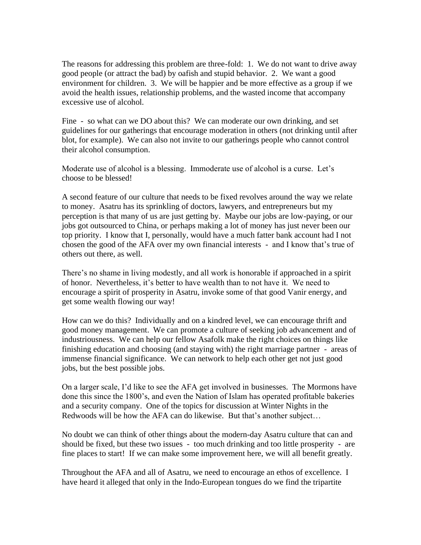The reasons for addressing this problem are three-fold: 1. We do not want to drive away good people (or attract the bad) by oafish and stupid behavior. 2. We want a good environment for children. 3. We will be happier and be more effective as a group if we avoid the health issues, relationship problems, and the wasted income that accompany excessive use of alcohol.

Fine - so what can we DO about this? We can moderate our own drinking, and set guidelines for our gatherings that encourage moderation in others (not drinking until after blot, for example). We can also not invite to our gatherings people who cannot control their alcohol consumption.

Moderate use of alcohol is a blessing. Immoderate use of alcohol is a curse. Let's choose to be blessed!

A second feature of our culture that needs to be fixed revolves around the way we relate to money. Asatru has its sprinkling of doctors, lawyers, and entrepreneurs but my perception is that many of us are just getting by. Maybe our jobs are low-paying, or our jobs got outsourced to China, or perhaps making a lot of money has just never been our top priority. I know that I, personally, would have a much fatter bank account had I not chosen the good of the AFA over my own financial interests - and I know that's true of others out there, as well.

There's no shame in living modestly, and all work is honorable if approached in a spirit of honor. Nevertheless, it's better to have wealth than to not have it. We need to encourage a spirit of prosperity in Asatru, invoke some of that good Vanir energy, and get some wealth flowing our way!

How can we do this? Individually and on a kindred level, we can encourage thrift and good money management. We can promote a culture of seeking job advancement and of industriousness. We can help our fellow Asafolk make the right choices on things like finishing education and choosing (and staying with) the right marriage partner - areas of immense financial significance. We can network to help each other get not just good jobs, but the best possible jobs.

On a larger scale, I'd like to see the AFA get involved in businesses. The Mormons have done this since the 1800's, and even the Nation of Islam has operated profitable bakeries and a security company. One of the topics for discussion at Winter Nights in the Redwoods will be how the AFA can do likewise. But that's another subject…

No doubt we can think of other things about the modern-day Asatru culture that can and should be fixed, but these two issues - too much drinking and too little prosperity - are fine places to start! If we can make some improvement here, we will all benefit greatly.

Throughout the AFA and all of Asatru, we need to encourage an ethos of excellence. I have heard it alleged that only in the Indo-European tongues do we find the tripartite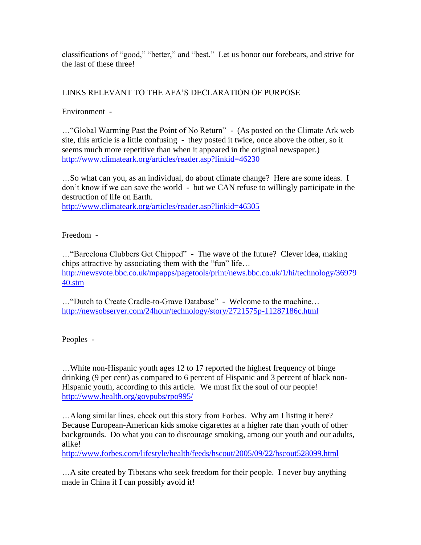classifications of "good," "better," and "best." Let us honor our forebears, and strive for the last of these three!

# LINKS RELEVANT TO THE AFA'S DECLARATION OF PURPOSE

Environment -

…"Global Warming Past the Point of No Return" - (As posted on the Climate Ark web site, this article is a little confusing - they posted it twice, once above the other, so it seems much more repetitive than when it appeared in the original newspaper.) <http://www.climateark.org/articles/reader.asp?linkid=46230>

…So what can you, as an individual, do about climate change? Here are some ideas. I don't know if we can save the world - but we CAN refuse to willingly participate in the destruction of life on Earth.

<http://www.climateark.org/articles/reader.asp?linkid=46305>

Freedom -

…"Barcelona Clubbers Get Chipped" - The wave of the future? Clever idea, making chips attractive by associating them with the "fun" life… [http://newsvote.bbc.co.uk/mpapps/pagetools/print/news.bbc.co.uk/1/hi/technology/36979](http://newsvote.bbc.co.uk/mpapps/pagetools/print/news.bbc.co.uk/1/hi/technology/3697940.stm) [40.stm](http://newsvote.bbc.co.uk/mpapps/pagetools/print/news.bbc.co.uk/1/hi/technology/3697940.stm)

…"Dutch to Create Cradle-to-Grave Database" - Welcome to the machine… <http://newsobserver.com/24hour/technology/story/2721575p-11287186c.html>

Peoples -

…White non-Hispanic youth ages 12 to 17 reported the highest frequency of binge drinking (9 per cent) as compared to 6 percent of Hispanic and 3 percent of black non-Hispanic youth, according to this article. We must fix the soul of our people! <http://www.health.org/govpubs/rpo995/>

…Along similar lines, check out this story from Forbes. Why am I listing it here? Because European-American kids smoke cigarettes at a higher rate than youth of other backgrounds. Do what you can to discourage smoking, among our youth and our adults, alike!

<http://www.forbes.com/lifestyle/health/feeds/hscout/2005/09/22/hscout528099.html>

…A site created by Tibetans who seek freedom for their people. I never buy anything made in China if I can possibly avoid it!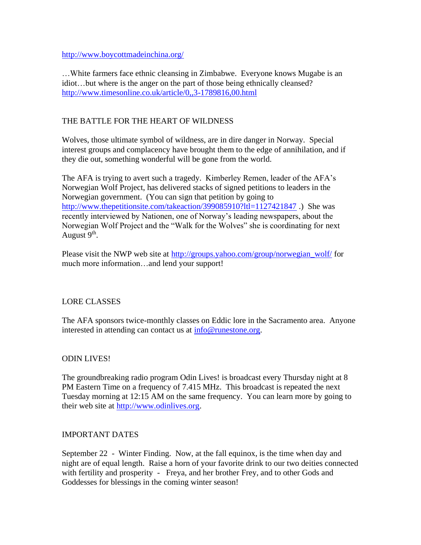<http://www.boycottmadeinchina.org/>

…White farmers face ethnic cleansing in Zimbabwe. Everyone knows Mugabe is an idiot…but where is the anger on the part of those being ethnically cleansed? <http://www.timesonline.co.uk/article/0,,3-1789816,00.html>

## THE BATTLE FOR THE HEART OF WILDNESS

Wolves, those ultimate symbol of wildness, are in dire danger in Norway. Special interest groups and complacency have brought them to the edge of annihilation, and if they die out, something wonderful will be gone from the world.

The AFA is trying to avert such a tragedy. Kimberley Remen, leader of the AFA's Norwegian Wolf Project, has delivered stacks of signed petitions to leaders in the Norwegian government. (You can sign that petition by going to <http://www.thepetitionsite.com/takeaction/399085910?ltl=1127421847> .) She was recently interviewed by Nationen, one of Norway's leading newspapers, about the Norwegian Wolf Project and the "Walk for the Wolves" she is coordinating for next August 9<sup>th</sup>.

Please visit the NWP web site at [http://groups.yahoo.com/group/norwegian\\_wolf/](http://groups.yahoo.com/group/norwegian_wolf/) for much more information…and lend your support!

### LORE CLASSES

The AFA sponsors twice-monthly classes on Eddic lore in the Sacramento area. Anyone interested in attending can contact us at [info@runestone.org.](mailto:info@runestone.org)

### ODIN LIVES!

The groundbreaking radio program Odin Lives! is broadcast every Thursday night at 8 PM Eastern Time on a frequency of 7.415 MHz. This broadcast is repeated the next Tuesday morning at 12:15 AM on the same frequency. You can learn more by going to their web site at [http://www.odinlives.org.](http://www.odinlives.org/)

### IMPORTANT DATES

September 22 - Winter Finding. Now, at the fall equinox, is the time when day and night are of equal length. Raise a horn of your favorite drink to our two deities connected with fertility and prosperity - Freya, and her brother Frey, and to other Gods and Goddesses for blessings in the coming winter season!